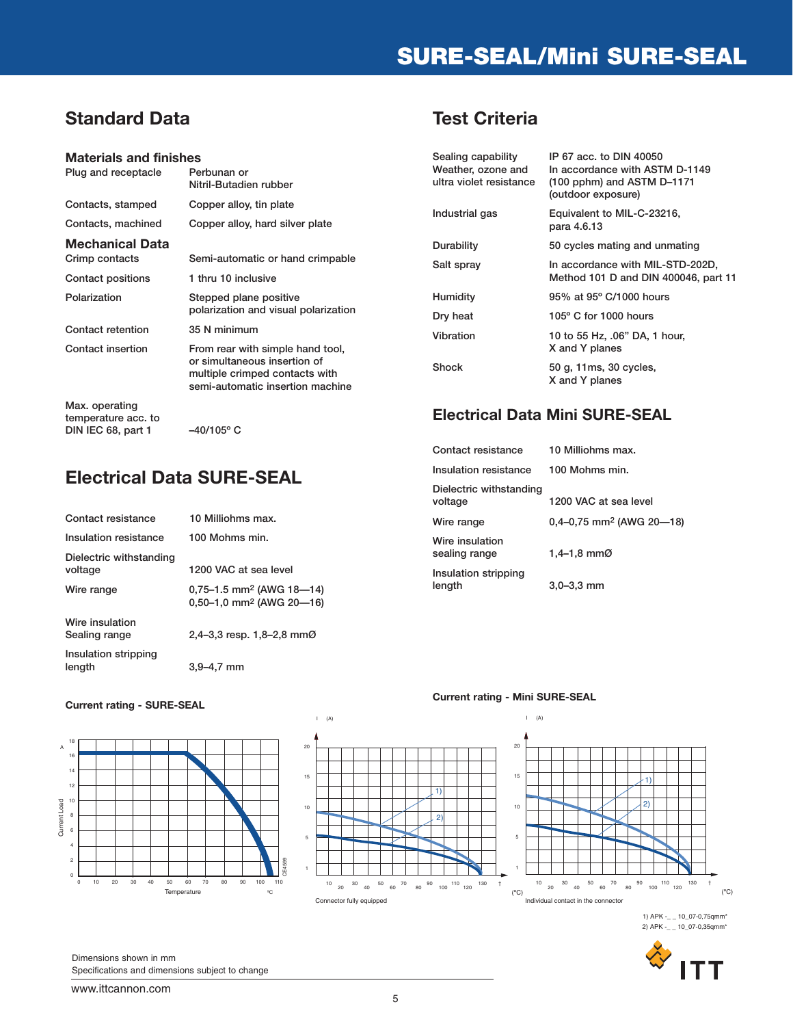# **SURE-SEAL/Mini SURE-SEAL**

## **Standard Data**

#### **Materials and finishes**

| Plug and receptacle                                         | Perbunan or<br>Nitril-Butadien rubber                                                                                                  |
|-------------------------------------------------------------|----------------------------------------------------------------------------------------------------------------------------------------|
| Contacts, stamped                                           | Copper alloy, tin plate                                                                                                                |
| Contacts, machined                                          | Copper alloy, hard silver plate                                                                                                        |
| Mechanical Data<br>Crimp contacts                           | Semi-automatic or hand crimpable                                                                                                       |
| Contact positions                                           | 1 thru 10 inclusive                                                                                                                    |
| Polarization                                                | Stepped plane positive<br>polarization and visual polarization                                                                         |
| Contact retention                                           | 35 N minimum                                                                                                                           |
| Contact insertion                                           | From rear with simple hand tool,<br>or simultaneous insertion of<br>multiple crimped contacts with<br>semi-automatic insertion machine |
| Max. operating<br>temperature acc. to<br>DIN IEC 68, part 1 | –40/105° C                                                                                                                             |

## **Electrical Data SURE-SEAL**

| Contact resistance                 | 10 Milliohms max.                                                              |
|------------------------------------|--------------------------------------------------------------------------------|
| Insulation resistance              | 100 Mohms min.                                                                 |
| Dielectric withstanding<br>voltage | 1200 VAC at sea level                                                          |
| Wire range                         | $0,75-1.5$ mm <sup>2</sup> (AWG 18-14)<br>0,50-1,0 mm <sup>2</sup> (AWG 20-16) |
| Wire insulation<br>Sealing range   | 2,4–3,3 resp. $1,8$ –2,8 mm $\emptyset$                                        |
| Insulation stripping<br>length     | $3.9 - 4.7$<br>mm                                                              |

#### **Current rating - SURE-SEAL**





I (A)

#### **Current rating - Mini SURE-SEAL**



1) APK -\_ \_ 10\_07-0,75qmm\* 2) APK -\_ \_ 10\_07-0,35qmm\*



Dimensions shown in mm Specifications and dimensions subject to change

## **Test Criteria**

| Sealing capability<br>Weather, ozone and<br>ultra violet resistance | IP 67 acc. to DIN 40050<br>In accordance with ASTM D-1149<br>$(100$ pphm) and ASTM D-1171<br>(outdoor exposure) |
|---------------------------------------------------------------------|-----------------------------------------------------------------------------------------------------------------|
| Industrial gas                                                      | Equivalent to MIL-C-23216,<br>para 4.6.13                                                                       |
| Durability                                                          | 50 cycles mating and unmating                                                                                   |
| Salt spray                                                          | In accordance with MIL-STD-202D,<br>Method 101 D and DIN 400046, part 11                                        |
| <b>Humidity</b>                                                     | 95% at 95° C/1000 hours                                                                                         |
| Dry heat                                                            | $105^{\circ}$ C for 1000 hours                                                                                  |
| Vibration                                                           | 10 to 55 Hz, .06" DA, 1 hour,<br>X and Y planes                                                                 |
| Shock                                                               | 50 g, 11ms, 30 cycles,<br>X and Y planes                                                                        |

### **Electrical Data Mini SURE-SEAL**

| Contact resistance                 | 10 Milliohms max.                      |
|------------------------------------|----------------------------------------|
| Insulation resistance              | 100 Mohms min.                         |
| Dielectric withstanding<br>voltage | 1200 VAC at sea level                  |
| Wire range                         | $0,4-0,75$ mm <sup>2</sup> (AWG 20-18) |
| Wire insulation<br>sealing range   | 1,4–1,8 mm $\emptyset$                 |
| Insulation stripping<br>length     | $3,0 - 3,3$ mm                         |

www.ittcannon.com